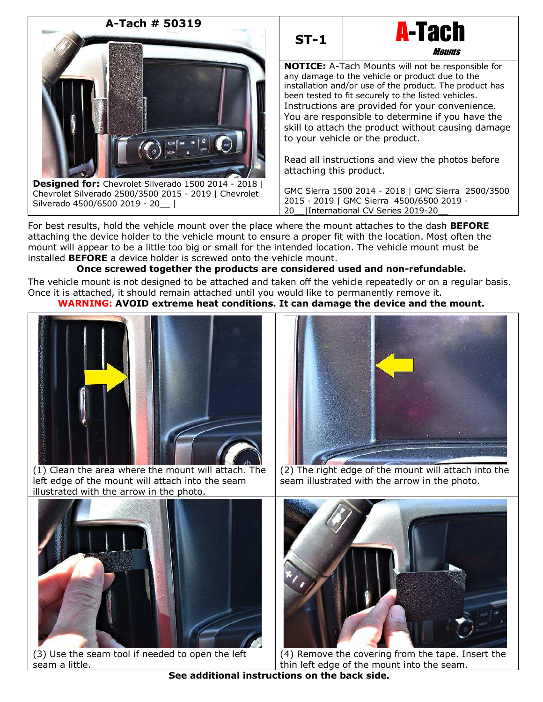



**NOTICE:** A-Tach Mounts will not be responsible for any damage to the vehicle or product due to the installation and/or use of the product. The product has been tested to fit securely to the listed vehicles. Instructions are provided for your convenience. You are responsible to determine if you have the skill to attach the product without causing damage to your vehicle or the product.

**Mounts** 

Read all instructions and view the photos before attaching this product.

GMC Sierra 1500 2014 - 2018 | GMC Sierra 2500/3500 2015 - 2019 | GMC Sierra 4500/6500 2019 - 20\_\_|International CV Series 2019-20\_\_

For best results, hold the vehicle mount over the place where the mount attaches to the dash **BEFORE** attaching the device holder to the vehicle mount to ensure a proper fit with the location. Most often the mount will appear to be a little too big or small for the intended location. The vehicle mount must be installed **BEFORE** a device holder is screwed onto the vehicle mount.

# **Once screwed together the products are considered used and non-refundable.**

The vehicle mount is not designed to be attached and taken off the vehicle repeatedly or on a regular basis. Once it is attached, it should remain attached until you would like to permanently remove it.

## **WARNING: AVOID extreme heat conditions. It can damage the device and the mount.**



(1) Clean the area where the mount will attach. The left edge of the mount will attach into the seam illustrated with the arrow in the photo.



(2) The right edge of the mount will attach into the seam illustrated with the arrow in the photo.



(3) Use the seam tool if needed to open the left seam a little.



(4) Remove the covering from the tape. Insert the thin left edge of the mount into the seam.

**See additional instructions on the back side.**